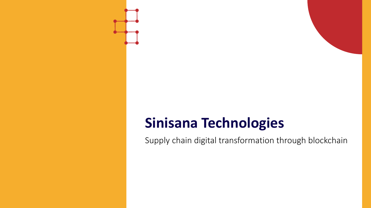### **Sinisana Technologies**

Supply chain digital transformation through blockchain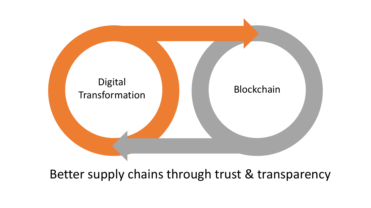

Better supply chains through trust & transparency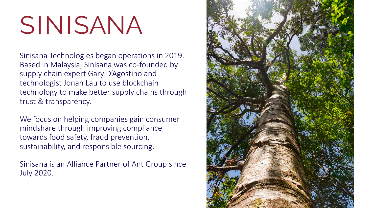# SINISANA

Sinisana Technologies began operations in 2019. Based in Malaysia, Sinisana was co-founded by supply chain expert Gary D'Agostino and technologist Jonah Lau to use blockchain technology to make better supply chains through trust & transparency.

We focus on helping companies gain consumer mindshare through improving compliance towards food safety, fraud prevention, sustainability, and responsible sourcing.

Sinisana is an Alliance Partner of Ant Group since July 2020.

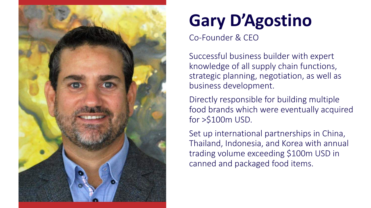

# **Gary D'Agostino**

Co-Founder & CEO

Successful business builder with expert knowledge of all supply chain functions, strategic planning, negotiation, as well as business development.

Directly responsible for building multiple food brands which were eventually acquired for >\$100m USD.

Set up international partnerships in China, Thailand, Indonesia, and Korea with annual trading volume exceeding \$100m USD in canned and packaged food items.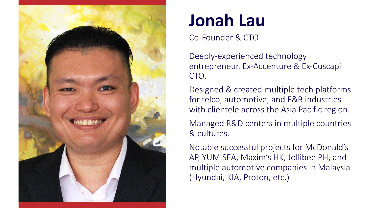

### **Jonah Lau**

#### Co-Founder & CTO

Deeply-experienced technology entrepreneur. Ex-Accenture & Ex-Cuscapi CTO.

Designed & created multiple tech platforms for telco, automotive, and F&B industries with clientele across the Asia Pacific region.

Managed R&D centers in multiple countries & cultures.

Notable successful projects for McDonald's AP, YUM SEA, Maxim's HK, Jollibee PH, and multiple automotive companies in Malaysia (Hyundai, KIA, Proton, etc.)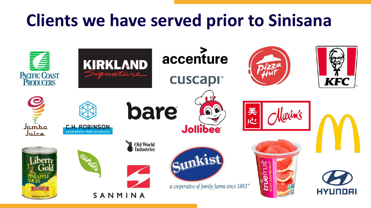### **Clients we have served prior to Sinisana**

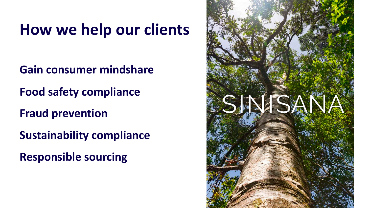### **How we help our clients**

**Gain consumer mindshare Food safety compliance Fraud prevention**

**Sustainability compliance**

**Responsible sourcing**

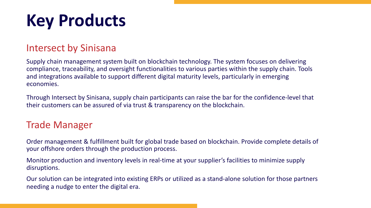# **Key Products**

#### Intersect by Sinisana

Supply chain management system built on blockchain technology. The system focuses on delivering compliance, traceability, and oversight functionalities to various parties within the supply chain. Tools and integrations available to support different digital maturity levels, particularly in emerging economies.

Through Intersect by Sinisana, supply chain participants can raise the bar for the confidence-level that their customers can be assured of via trust & transparency on the blockchain.

#### Trade Manager

Order management & fulfillment built for global trade based on blockchain. Provide complete details of your offshore orders through the production process.

Monitor production and inventory levels in real-time at your supplier's facilities to minimize supply disruptions.

Our solution can be integrated into existing ERPs or utilized as a stand-alone solution for those partners needing a nudge to enter the digital era.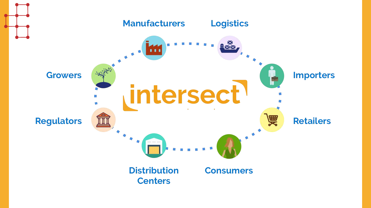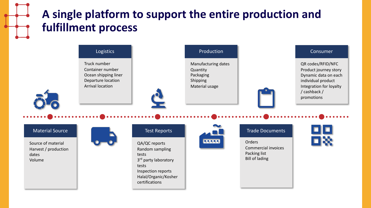### **A single platform to support the entire production and fulfillment process**

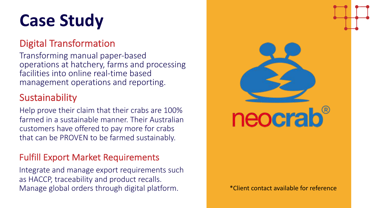### **Case Study**

#### Digital Transformation

Transforming manual paper-based operations at hatchery, farms and processing facilities into online real-time based management operations and reporting.

#### Sustainability

Help prove their claim that their crabs are 100% farmed in a sustainable manner. Their Australian customers have offered to pay more for crabs that can be PROVEN to be farmed sustainably.

#### Fulfill Export Market Requirements

Integrate and manage export requirements such as HACCP, traceability and product recalls. Manage global orders through digital platform.

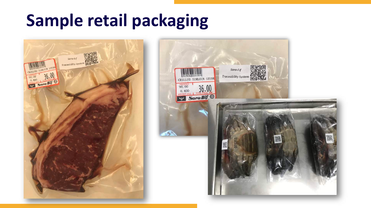### **Sample retail packaging**



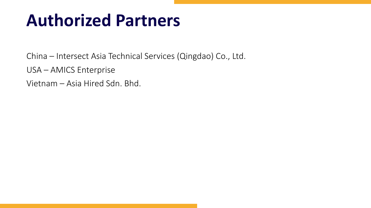### **Authorized Partners**

China – Intersect Asia Technical Services (Qingdao) Co., Ltd.

USA – AMICS Enterprise

Vietnam – Asia Hired Sdn. Bhd.